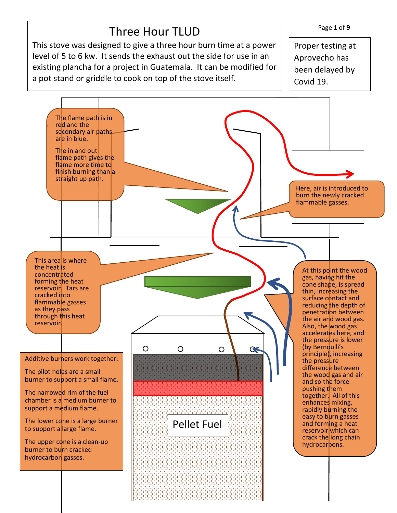## Three Hour TLUD

This stove was designed to give a three hour burn time at a power level of 5 to 6 kw. It sends the exhaust out the side for use in an existing plancha for a project in Guatemala. It can be modified for a pot stand or griddle to cook on top of the stove itself.

Proper testing at Aprovecho has been delayed by Covid 19.

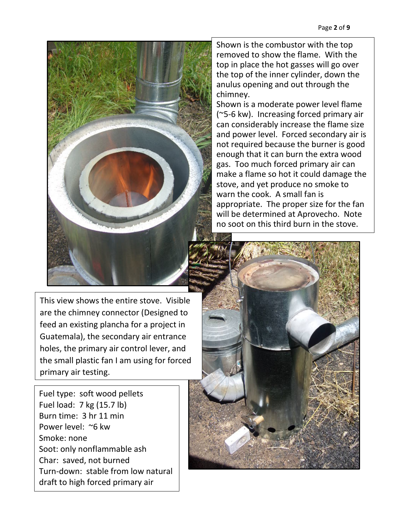Shown is the combustor with the top removed to show the flame. With the top in place the hot gasses will go over the top of the inner cylinder, down the anulus opening and out through the chimney.

Shown is a moderate power level flame (~5-6 kw). Increasing forced primary air can considerably increase the flame size and power level. Forced secondary air is not required because the burner is good enough that it can burn the extra wood gas. Too much forced primary air can make a flame so hot it could damage the stove, and yet produce no smoke to warn the cook. A small fan is appropriate. The proper size for the fan will be determined at Aprovecho. Note no soot on this third burn in the stove.

This view shows the entire stove. Visible are the chimney connector (Designed to feed an existing plancha for a project in Guatemala), the secondary air entrance holes, the primary air control lever, and the small plastic fan I am using for forced primary air testing.

Fuel type: soft wood pellets Fuel load: 7 kg (15.7 lb) Burn time: 3 hr 11 min Power level: ~6 kw Smoke: none Soot: only nonflammable ash Char: saved, not burned Turn-down: stable from low natural draft to high forced primary air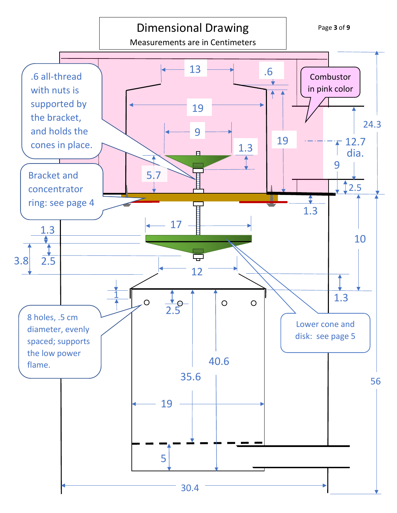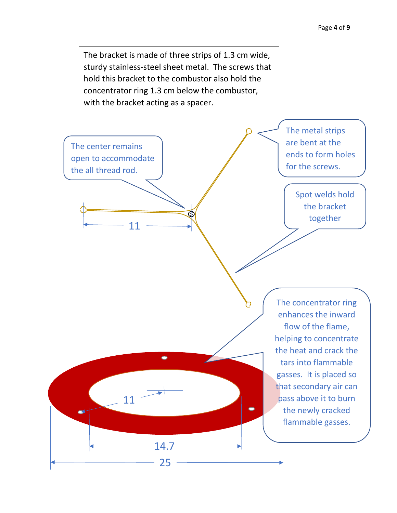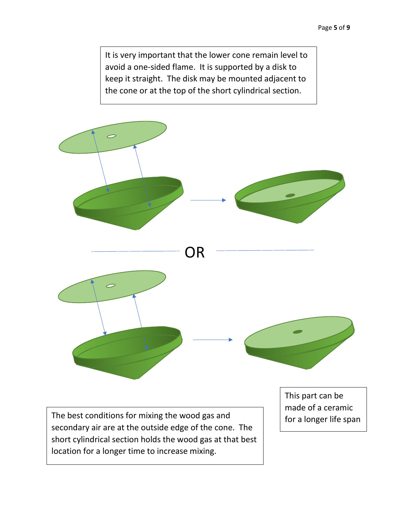It is very important that the lower cone remain level to avoid a one-sided flame. It is supported by a disk to keep it straight. The disk may be mounted adjacent to the cone or at the top of the short cylindrical section.



The best conditions for mixing the wood gas and secondary air are at the outside edge of the cone. The short cylindrical section holds the wood gas at that best location for a longer time to increase mixing.

This part can be made of a ceramic for a longer life span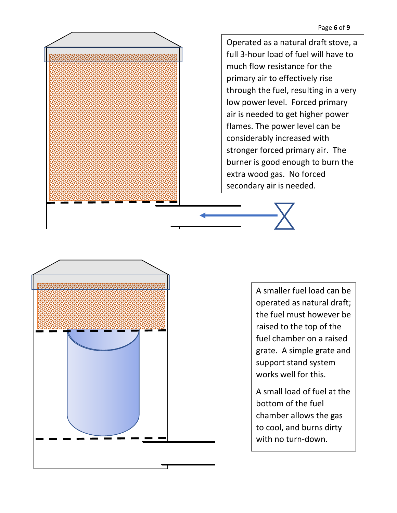Operated as a natural draft stove, a full 3-hour load of fuel will have to much flow resistance for the primary air to effectively rise through the fuel, resulting in a very low power level. Forced primary air is needed to get higher power flames. The power level can be considerably increased with stronger forced primary air. The burner is good enough to burn the extra wood gas. No forced secondary air is needed.



A smaller fuel load can be operated as natural draft; the fuel must however be raised to the top of the fuel chamber on a raised grate. A simple grate and support stand system works well for this.

A small load of fuel at the bottom of the fuel chamber allows the gas to cool, and burns dirty with no turn-down.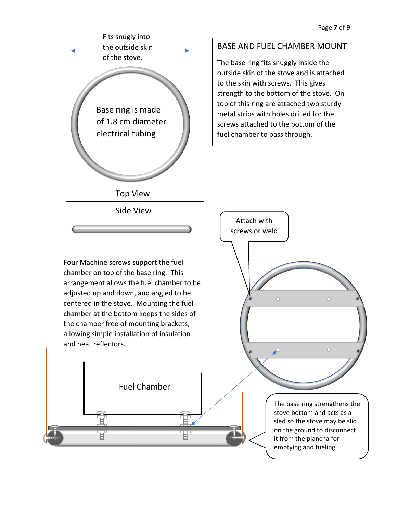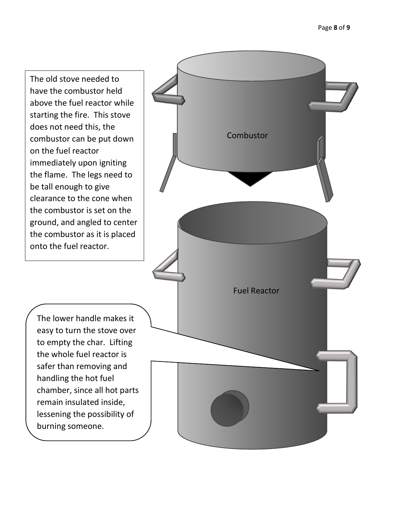The old stove needed to have the combustor held above the fuel reactor while starting the fire. This stove does not need this, the combustor can be put down on the fuel reactor immediately upon igniting the flame. The legs need to be tall enough to give clearance to the cone when the combustor is set on the ground, and angled to center the combustor as it is placed onto the fuel reactor.



The lower handle makes it easy to turn the stove over to empty the char. Lifting the whole fuel reactor is safer than removing and handling the hot fuel chamber, since all hot parts remain insulated inside, lessening the possibility of burning someone.